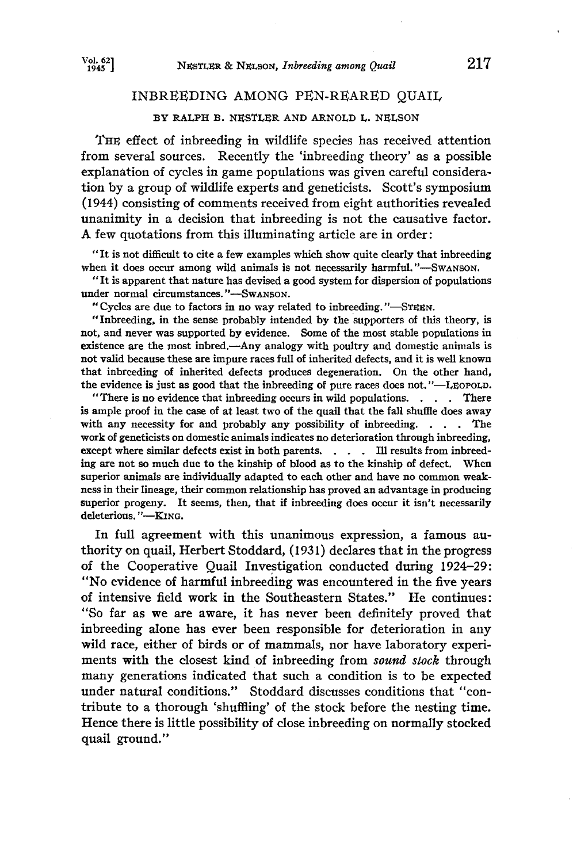## **INBREEDING AMONG PEN-REARED QUAIL**

# BY RALPH B. NESTLER AND ARNOLD L. NELSON

**THE effect of inbreeding in wildlife species has received attention**  from several sources. Recently the 'inbreeding theory' as a possible **explanation of cycles in game populations was given careful considera**tion by a group of wildlife experts and geneticists. Scott's symposium **(1944) consisting of comments received from eight authorities revealed**  unanimity in a decision that inbreeding is not the causative factor. **A few quotations from this illuminating article are in order:** 

**"It is not difficult to cite a few examples which show quite dearly that inbreeding**  when it does occur among wild animals is not necessarily harmful."-Swanson.

**"It iS apparent that nature has devised a good system for dispersion of populations**  under normal circumstances. "-SwaNSON.

"Cycles are due to factors in no way related to inbreeding."-STEEN.

**"Inbreeding, in the sense probably intended by the supporters of this theory, is not, and never was supported by evidence. Some of the most stable populations in existence are the most inbred.—Any analogy with poultry and domestic animals is not valid because these are impure races full of inherited defects, and it is well known that inbreeding of inherited defects produces degeneration. On the other hand,**  the evidence is just as good that the inbreeding of pure races does not."—LEOPOLD.

**"There is no evidence that inbreeding occurs in wild populations. There is ample proof in the case of at least two of the quail that the fall shuffle does away**  with any necessity for and probably any possibility of inbreeding. . . . The **work of geneticlsts on domestic animals indicates no deterioration through inbreeding, except where similar defects exist in both parents. . . Ill results from inbreeding are not so much due to the kinship of blood as to the kinship of defect. When superior animals are individually adapted to each other and have no common weakness in their lineage, their common relationship has proved an advantage in producing superior progeny. It seems, then, that if inbreeding does occur it isn't necessarily deleterious.** 

**In full agreement with this unanimous expression, a famous authority on quail, Herbert Stoddard, (1931) declares that in the progress**  of the Cooperative Quail Investigation conducted during 1924-29: **"No evidence of harmful inbreeding was encountered in the five years of intensive field work in the Southeastern States." He continues: "So far as we are aware, it has never been definitely proved that inbreeding alone has ever been responsible for deterioration in any wild race, either of birds or of mammals, nor have laboratory experi**ments with the closest kind of inbreeding from sound stock through **many generations indicated that such a condition is to be expected under natural conditions." Stoddard discusses conditions that "contribute to a thorough 'shuffling' of the stock before the nesting time.**  Hence there is little possibility of close inbreeding on normally stocked **quail ground."**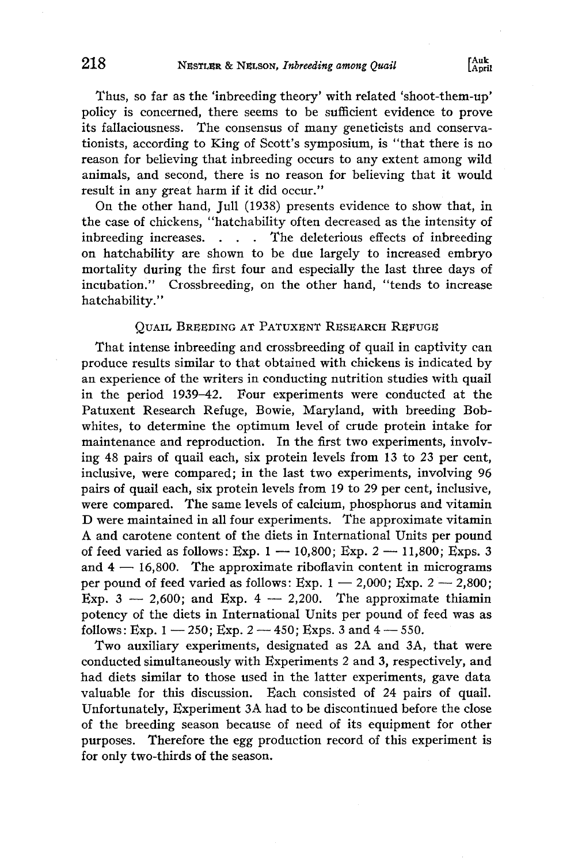**Thus, so far as the 'inbreeding theory' with related 'shoot-them-up' policy is concerned, there seems to be sufficient evidence to prove**  its fallaciousness. The consensus of many geneticists and conserva**tionists, according to King of Scott's symposium, is "that there is no reason for believing that inbreeding occurs to any extent among wild animals, and second, there is no reason for believing that it would result in any great harm if it did occur."** 

**On the other hand, Jull (1938) presents evidence to show that, in the case of chickens, "hatchability often decreased as the intensity of**  inbreeding increases. . . The deleterious effects of inbreeding **on hatchability are shown to be due largely to increased embryo mortality during the first four and especially the last three days of incubation." Crossbreeding, on the other hand, "tends to increase hatchability."** 

### **QUAIL BREEDING AT PATUXENT RESEARCH REFUGE**

That intense inbreeding and crossbreeding of quail in captivity can produce results similar to that obtained with chickens is indicated by **an experience of the writers in conducting nutrition studies with quail in the period 1939-42. Four experiments were conducted at the Patuxent Research Refuge, Bowie, Maryland, with breeding Bobwhites, to determine the optimum level of crude protein intake for maintenance and reproduction. In the first two experiments, involving 48 pairs of quail each, six protein levels from 13 to 23 per cent, inclusive, were compared; in the last two experiments, involving 96 pairs of quail each, six protein levels from 19 to 29 per cent, inclusive, were compared. The same levels of calcium, phosphorus and vitamin D were maintained in all four experiments. The approximate vitamin A and carotene content of the diets in International Units per pound of feed varied as follows: Exp. 1 -- 10,800; Exp. 2 -- 11,800; Exps. 3**  and  $4 - 16,800$ . The approximate riboflavin content in micrograms per pound of feed varied as follows: Exp.  $1 - 2,000$ ; Exp.  $2 - 2,800$ ; Exp.  $3 - 2{,}600$ ; and Exp.  $4 - 2{,}200$ . The approximate thiamin **potency of the diets in International Units per pound of feed was as follows:** Exp.  $1 - 250$ ; Exp.  $2 - 450$ ; Exps. 3 and  $4 - 550$ .

**Two auxiliary experiments, designated as 2A and 3A, that were conducted simultaneously with Experiments 2 and 3, respectively, and had diets similar to those used in the latter experiments, gave data valuable for this discussion. Each consisted of 24 pairs of quail. Unfortunately, Experiment 3A had to be discontinued before the close of the breeding season because of need of its equipment for other purposes. Therefore the egg production record of this experiment is for only two-thirds of the season.**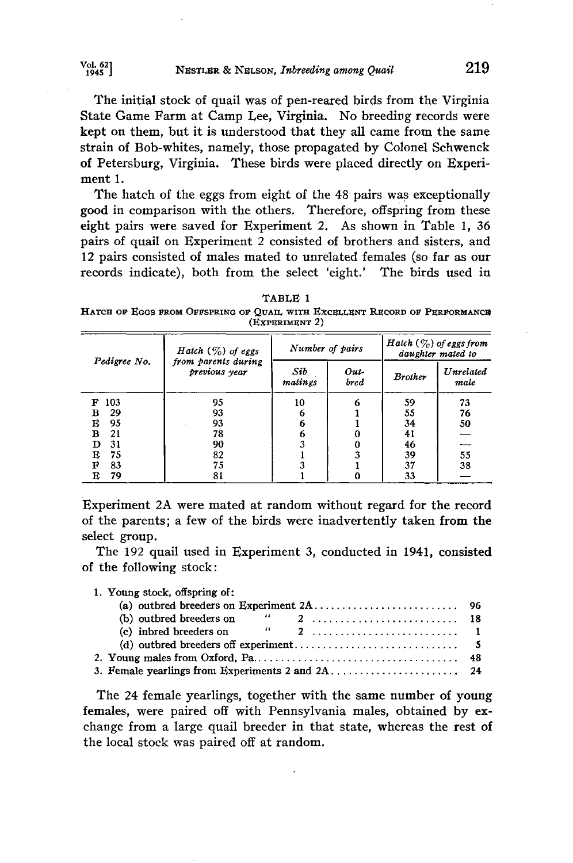<sup>Vol. 62</sup> <sup>1945</sup> **1945 1945 1946 1946 1946 1946 1947 219** 

**The initial stock of quail was of pen-reared birds from the Virginia**  State Game Farm at Camp Lee, Virginia. No breeding records were **kept on them, but it is understood that they all came from the same strain of Bob-whites, namely, those propagated by Colonel Schwenck of Petersburg, Virginia. These birds were placed directly on Experiment 1.** 

**The hatch of the eggs from eight of the 48 pairs was exceptionally good in comparison with the others. Therefore, offspring from these eight pairs were saved for Experiment 2. As shown in Table 1, 36 pairs of quail on Experiment 2 consisted of brothers and sisters, and 12 pairs consisted of males mated to unrelated females (so far as our records indicate), both from the select 'eight.' The birds used in** 

| TABLE |  |
|-------|--|
|       |  |

HATCH OF EGGS FROM OFFSPRING OF QUAIL WITH EXCELLENT RECORD OF PERFORMANCE **(}•XpI•RIMI•NT 2)** 

| Pedigree No. | <i>Hatch</i> $(\%)$ of eggs<br>from parents during | Number of pairs |                     | <i>Hatch</i> $(\%)$ of eggs from<br>daughter mated to |                   |  |
|--------------|----------------------------------------------------|-----------------|---------------------|-------------------------------------------------------|-------------------|--|
|              | previous year                                      | Sib<br>matings  | Out-<br><b>bred</b> | <b>Brother</b>                                        | Unrelated<br>male |  |
| 103<br>F     | 95                                                 | 10              | 6                   | 59                                                    | 73                |  |
| 29<br>в      | 93                                                 | 6               |                     | 55                                                    | 76                |  |
| Е<br>95      | 93                                                 | 6               |                     | 34                                                    | 50                |  |
| B<br>21      | 78                                                 |                 |                     | 41                                                    |                   |  |
| 31<br>D      | 90                                                 |                 |                     | 46                                                    |                   |  |
| 75<br>Е      | 82                                                 |                 |                     | 39                                                    | 55                |  |
| F<br>83      | 75                                                 |                 |                     | 37                                                    | 38                |  |
| 79<br>Е      | 81                                                 |                 |                     | 33                                                    |                   |  |

**Experiment 2A were mated at random without regard for the record of the parents; a few of the birds were inadvertently taken from the select group.** 

**The 192 quail used in Experiment 3, conducted in 1941, consisted of the following stock:** 

**1. Young stock, offspring of:** 

| (b) outbred breeders on<br>$\mathcal{L}$ | 2 18 |  |  |  |  |  |  |
|------------------------------------------|------|--|--|--|--|--|--|
|                                          |      |  |  |  |  |  |  |
|                                          |      |  |  |  |  |  |  |
|                                          |      |  |  |  |  |  |  |
|                                          |      |  |  |  |  |  |  |
|                                          |      |  |  |  |  |  |  |

**The 24 female yearlings, together with the same number of young females, were paired off with Pennsylvania males, obtained by exchange from a large quail breeder in that state, whereas the rest of the local stock was paired off at random.**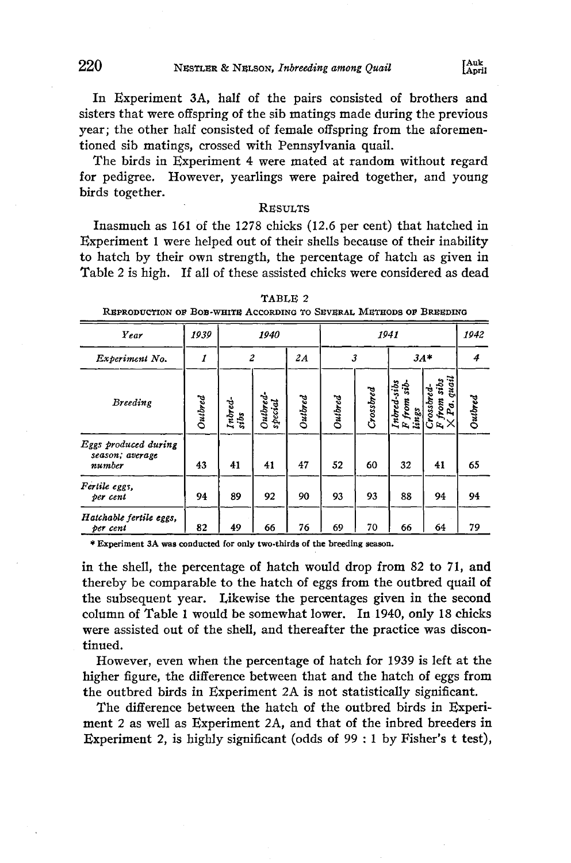**220** NESTLER & NELSON, Inbreeding among Quail

**In Experiment 3A, half of the pairs consisted of brothers and sisters that were offspring of the sib matings made during the previous year; the other half consisted of female offspring from the aforementioned sib matings, crossed with Pennsylvania quail.** 

**The birds in Experiment 4 were mated at random without regard for pedigree. However, yearlings were paired together, and young birds together.** 

## **RESULTS**

**Inasmuch as 161 of the 1278 chicks (12.6 per cent) that hatched in Experiment 1 were helped out of their shells because of their inability to hatch by their own strength, the percentage of hatch as given in Table 2 is high. If all of these assisted chicks were considered as dead** 

| Year                                              | 1939    | 1940            |                     |         | 1941    |           |                                        |                                                                             | 1942    |
|---------------------------------------------------|---------|-----------------|---------------------|---------|---------|-----------|----------------------------------------|-----------------------------------------------------------------------------|---------|
| Experiment No.                                    | 1       | $\overline{c}$  |                     | 2A      | 3       |           | $3A*$                                  |                                                                             | 4       |
| <b>Breeding</b>                                   | Outbred | Intred-<br>sibs | Outbred-<br>special | Outbred | Outbred | Crossbred | Intred-sibs<br>sib-<br>F from<br>lings | guail<br>sibs<br>$C$ rossbred-<br>F from sib.<br>$\vee$ $\frac{1}{2}$<br>Pa | Outbred |
| Eggs produced during<br>season; average<br>number | 43      | 41              | 41                  | 47      | 52      | 60        | 32                                     | 41                                                                          | 65      |
| Fertile eggs,<br>per cent                         | 94      | 89              | 92                  | 90      | 93      | 93        | 88                                     | 94                                                                          | 94      |
| Hatchable fertile eggs,<br>per cent               | 82      | 49              | 66                  | 76      | 69      | 70        | 66                                     | 64                                                                          | 79      |

**TABLE 2** 

**REPRODUCTION OF BOB-WHITE ACCORDING TO SEVERAL METHODS OF BREEDING** 

**\* Experiment 3A was conducted for only two-thirds of the breeding season.** 

**in the shell, the percentage of hatch would drop from 82 to 71, and thereby be comparable to the hatch of eggs from the outbred quail of the subsequent year. Likewise the percentages given in the second column of Table 1 would be somewhat lower. In 1940, only 18 chicks were assisted out of the shell, and thereafter the practice was discontinued.** 

**However, even when the percentage of hatch for 1939 is left at the higher figure, the difference between that and the hatch of eggs from the outbred birds in Experiment 2A is not statistically significant.** 

**The difference between the hatch of the outbred birds in Experiment 2 as well as Experiment 2A, and that of the inbred breeders in Experiment 2, is highly significant (odds of 99: 1 by Fisher's t test),**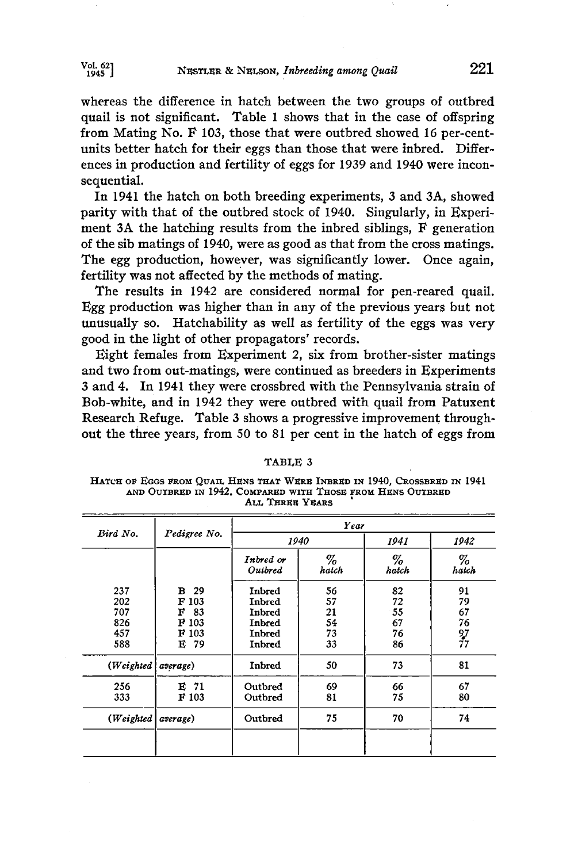**whereas the difference in hatch between the two groups of outbred quail is not significant. Table 1 shows that in the case of offspring**  from Mating No. F 103, those that were outbred showed 16 per-cent**units better hatch for their eggs than those that were inbred. Differences in production and fertility of eggs for 1939 and 1940 were inconsequential.** 

**In 1941 the hatch on both breeding experiments, 3 and 3A, showed parity with that of the outbred stock of 1940. Singularly, in Experi**ment 3A the hatching results from the inbred siblings, F generation **of the sib matings of 1940, were as good as that from the cross matings. The egg production, however, was significantly lower. Once again, fertility was not affected by the methods of mating.** 

**The results in 1942 are considered normal for pen-reared quail. Egg production was higher than in any of the previous years but not unusually so. Hatchability as well as fertility of the eggs was very good in the light of other propagators' records.** 

**Eight females from Experiment 2, six from brother-sister matings and two from out-matings, were continued as breeders in Experiments 3 and 4. In 1941 they were crossbred with the Pennsylvania strain of Bob-white, and in 1942 they were outbred with quail from Patuxent Research Refuge. Table 3 shows a progressive improvement throughout the three years, from 50 to 81 per cent in the hatch of eggs from** 

**HATCH OF EGGS FROM OUAIL HENS THAT WERE INBRED IN 1940, CROSSBRED IN 1941** AND OUTBRED IN 1942, COMPARED WITH THOSE FROM HENS OUTBRED **ALL THREE YEARS** 

| Bird No.                               | Pedigree No.                                              | Year                                                     |                                  |                                  |                                  |  |  |  |
|----------------------------------------|-----------------------------------------------------------|----------------------------------------------------------|----------------------------------|----------------------------------|----------------------------------|--|--|--|
|                                        |                                                           |                                                          | 1940                             | 1941                             | 1942                             |  |  |  |
|                                        |                                                           | Inbred or<br>Outbred                                     | %<br>hatch                       | %<br>hatch                       | %<br>hatch                       |  |  |  |
| 237<br>202<br>707<br>826<br>457<br>588 | 29<br>в<br>F 103<br>F<br>83<br>F 103<br>F 103<br>E<br>-79 | Inbred<br>Inbred<br>Inbred<br>Inbred<br>Inbred<br>Inbred | 56<br>57<br>21<br>54<br>73<br>33 | 82<br>72<br>55<br>67<br>76<br>86 | 91<br>79<br>67<br>76<br>97<br>77 |  |  |  |
| (Weighted   average)                   |                                                           | Inbred                                                   | 50                               | 73                               | 81                               |  |  |  |
| 256<br>333                             | $E$ 71<br>F 103                                           | Outbred<br>Outbred                                       | 69<br>81                         | 66<br>75                         | 67<br>80                         |  |  |  |
| (Weighted)                             | average)                                                  | Outbred                                                  | 75                               | 70                               | 74                               |  |  |  |

#### **TABLE 3**